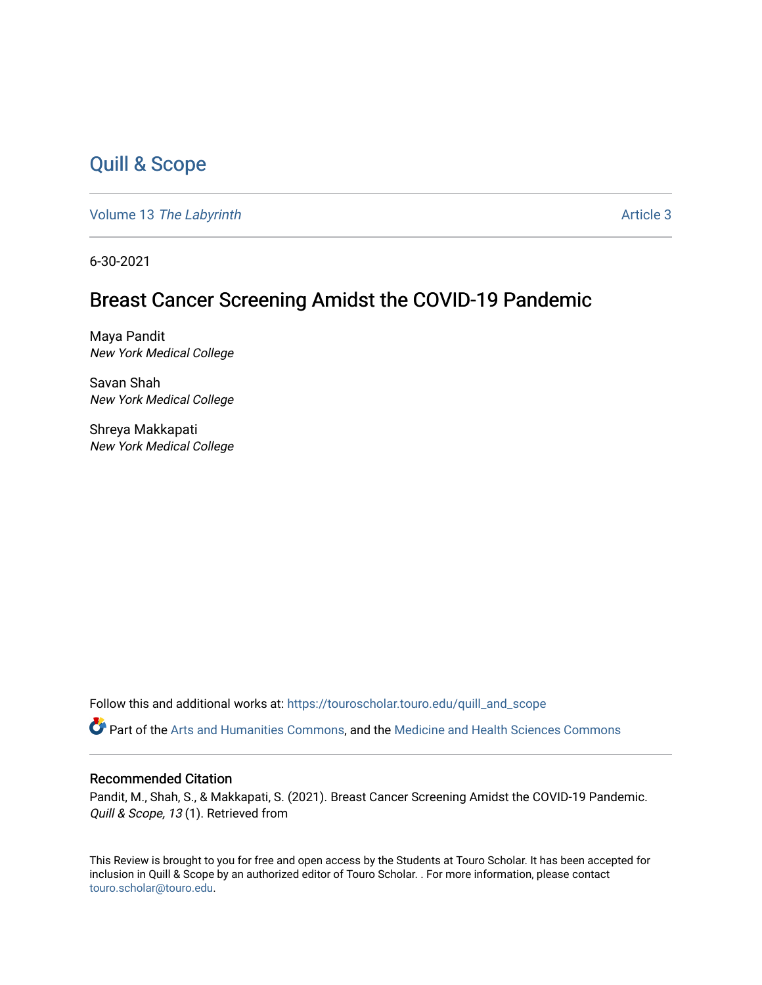### [Quill & Scope](https://touroscholar.touro.edu/quill_and_scope)

Volume 13 [The Labyrinth](https://touroscholar.touro.edu/quill_and_scope/vol13) Article 3

6-30-2021

#### Breast Cancer Screening Amidst the COVID-19 Pandemic

Maya Pandit New York Medical College

Savan Shah New York Medical College

Shreya Makkapati New York Medical College

Follow this and additional works at: [https://touroscholar.touro.edu/quill\\_and\\_scope](https://touroscholar.touro.edu/quill_and_scope?utm_source=touroscholar.touro.edu%2Fquill_and_scope%2Fvol13%2Fiss1%2F3&utm_medium=PDF&utm_campaign=PDFCoverPages)

Part of the [Arts and Humanities Commons,](http://network.bepress.com/hgg/discipline/438?utm_source=touroscholar.touro.edu%2Fquill_and_scope%2Fvol13%2Fiss1%2F3&utm_medium=PDF&utm_campaign=PDFCoverPages) and the [Medicine and Health Sciences Commons](http://network.bepress.com/hgg/discipline/648?utm_source=touroscholar.touro.edu%2Fquill_and_scope%2Fvol13%2Fiss1%2F3&utm_medium=PDF&utm_campaign=PDFCoverPages)

#### Recommended Citation

Pandit, M., Shah, S., & Makkapati, S. (2021). Breast Cancer Screening Amidst the COVID-19 Pandemic. Quill & Scope, 13 (1). Retrieved from

This Review is brought to you for free and open access by the Students at Touro Scholar. It has been accepted for inclusion in Quill & Scope by an authorized editor of Touro Scholar. . For more information, please contact [touro.scholar@touro.edu](mailto:touro.scholar@touro.edu).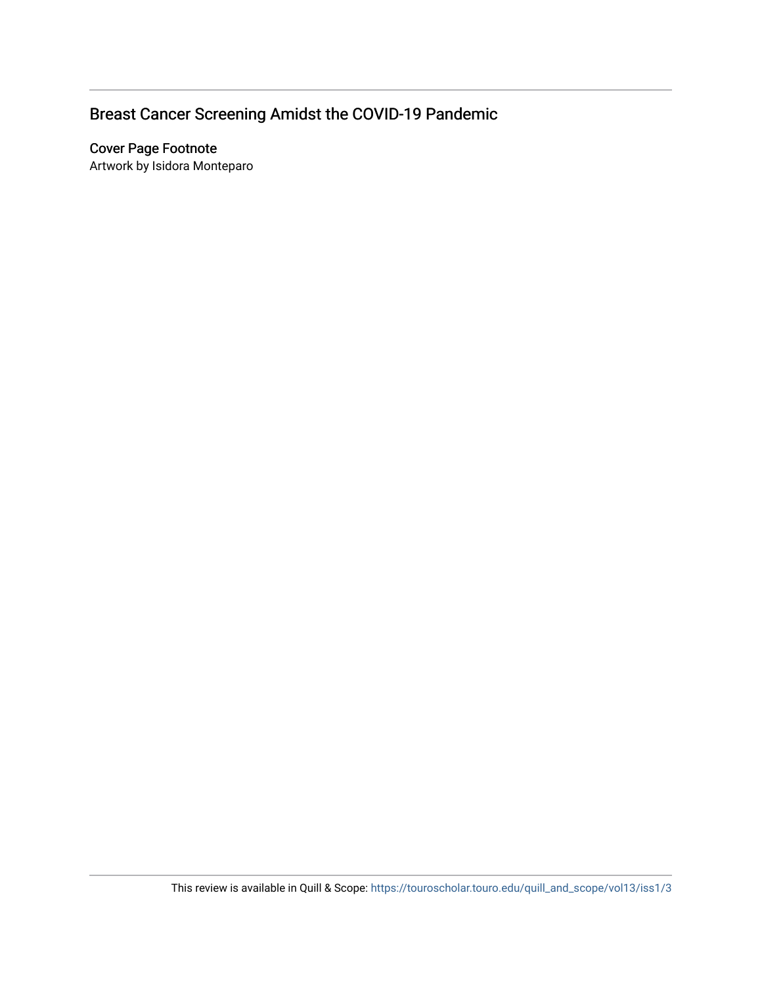## Breast Cancer Screening Amidst the COVID-19 Pandemic

#### Cover Page Footnote

Artwork by Isidora Monteparo